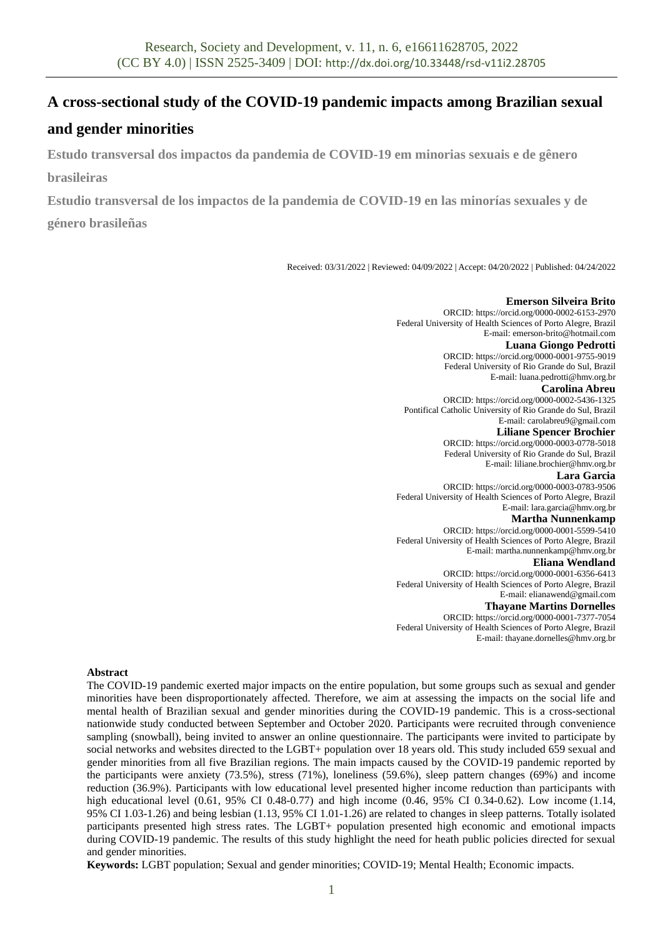# **A cross-sectional study of the COVID-19 pandemic impacts among Brazilian sexual**

# **and gender minorities**

**Estudo transversal dos impactos da pandemia de COVID-19 em minorias sexuais e de gênero brasileiras**

**Estudio transversal de los impactos de la pandemia de COVID-19 en las minorías sexuales y de** 

**género brasileñas**

Received: 03/31/2022 | Reviewed: 04/09/2022 | Accept: 04/20/2022 | Published: 04/24/2022

#### **Emerson Silveira Brito** ORCID: https://orcid.org/0000-0002-6153-2970 Federal University of Health Sciences of Porto Alegre, Brazil E-mail: emerson-brito@hotmail.com **Luana Giongo Pedrotti** ORCID: https://orcid.org/0000-0001-9755-9019 Federal University of Rio Grande do Sul, Brazil E-mail: luana.pedrotti@hmv.org.br **Carolina Abreu** ORCID: https://orcid.org/0000-0002-5436-1325 Pontifical Catholic University of Rio Grande do Sul, Brazil E-mail: carolabreu9@gmail.com **Liliane Spencer Brochier** ORCID: https://orcid.org/0000-0003-0778-5018 Federal University of Rio Grande do Sul, Brazil E-mail: liliane.brochier@hmv.org.br **Lara Garcia** ORCID: https://orcid.org/0000-0003-0783-9506 Federal University of Health Sciences of Porto Alegre, Brazil E-mail: lara.garcia@hmv.org.br **Martha Nunnenkamp** ORCID: https://orcid.org/0000-0001-5599-5410 Federal University of Health Sciences of Porto Alegre, Brazil E-mail: martha.nunnenkamp@hmv.org.br **Eliana Wendland** ORCID: https://orcid.org/0000-0001-6356-6413 Federal University of Health Sciences of Porto Alegre, Brazil E-mail: elianawend@gmail.com **Thayane Martins Dornelles** ORCID: https://orcid.org/0000-0001-7377-7054

Federal University of Health Sciences of Porto Alegre, Brazil E-mail: thayane.dornelles@hmv.org.br

### **Abstract**

The COVID-19 pandemic exerted major impacts on the entire population, but some groups such as sexual and gender minorities have been disproportionately affected. Therefore, we aim at assessing the impacts on the social life and mental health of Brazilian sexual and gender minorities during the COVID-19 pandemic. This is a cross-sectional nationwide study conducted between September and October 2020. Participants were recruited through convenience sampling (snowball), being invited to answer an online questionnaire. The participants were invited to participate by social networks and websites directed to the LGBT+ population over 18 years old. This study included 659 sexual and gender minorities from all five Brazilian regions. The main impacts caused by the COVID-19 pandemic reported by the participants were anxiety (73.5%), stress (71%), loneliness (59.6%), sleep pattern changes (69%) and income reduction (36.9%). Participants with low educational level presented higher income reduction than participants with high educational level (0.61, 95% CI 0.48-0.77) and high income (0.46, 95% CI 0.34-0.62). Low income (1.14, 95% CI 1.03-1.26) and being lesbian (1.13, 95% CI 1.01-1.26) are related to changes in sleep patterns. Totally isolated participants presented high stress rates. The LGBT+ population presented high economic and emotional impacts during COVID-19 pandemic. The results of this study highlight the need for heath public policies directed for sexual and gender minorities.

**Keywords:** LGBT population; Sexual and gender minorities; COVID-19; Mental Health; Economic impacts.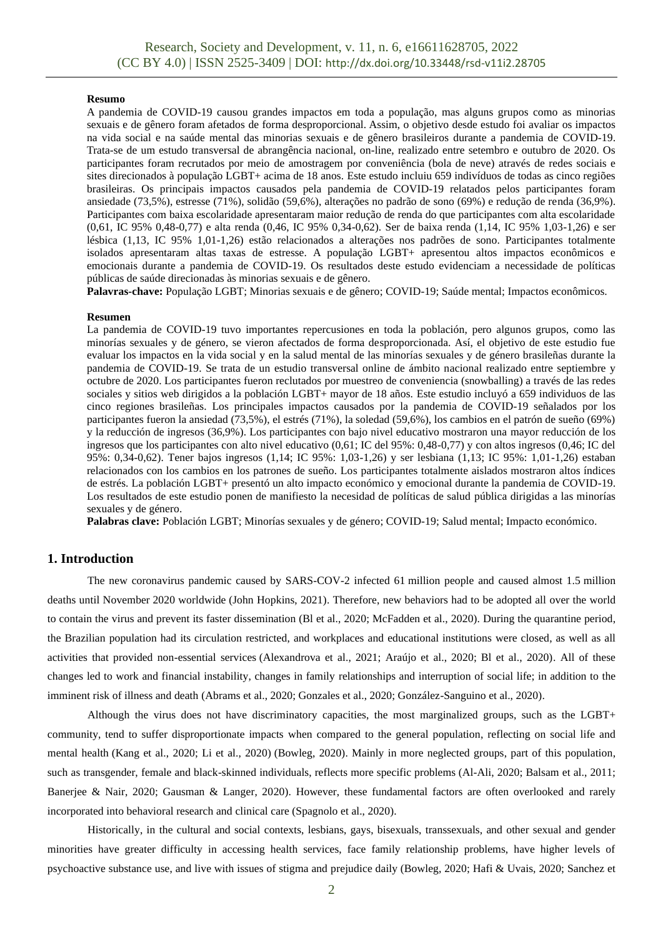#### **Resumo**

A pandemia de COVID-19 causou grandes impactos em toda a população, mas alguns grupos como as minorias sexuais e de gênero foram afetados de forma desproporcional. Assim, o objetivo desde estudo foi avaliar os impactos na vida social e na saúde mental das minorias sexuais e de gênero brasileiros durante a pandemia de COVID-19. Trata-se de um estudo transversal de abrangência nacional, on-line, realizado entre setembro e outubro de 2020. Os participantes foram recrutados por meio de amostragem por conveniência (bola de neve) através de redes sociais e sites direcionados à população LGBT+ acima de 18 anos. Este estudo incluiu 659 indivíduos de todas as cinco regiões brasileiras. Os principais impactos causados pela pandemia de COVID-19 relatados pelos participantes foram ansiedade (73,5%), estresse (71%), solidão (59,6%), alterações no padrão de sono (69%) e redução de renda (36,9%). Participantes com baixa escolaridade apresentaram maior redução de renda do que participantes com alta escolaridade (0,61, IC 95% 0,48-0,77) e alta renda (0,46, IC 95% 0,34-0,62). Ser de baixa renda (1,14, IC 95% 1,03-1,26) e ser lésbica (1,13, IC 95% 1,01-1,26) estão relacionados a alterações nos padrões de sono. Participantes totalmente isolados apresentaram altas taxas de estresse. A população LGBT+ apresentou altos impactos econômicos e emocionais durante a pandemia de COVID-19. Os resultados deste estudo evidenciam a necessidade de políticas públicas de saúde direcionadas às minorias sexuais e de gênero.

**Palavras-chave:** População LGBT; Minorias sexuais e de gênero; COVID-19; Saúde mental; Impactos econômicos.

#### **Resumen**

La pandemia de COVID-19 tuvo importantes repercusiones en toda la población, pero algunos grupos, como las minorías sexuales y de género, se vieron afectados de forma desproporcionada. Así, el objetivo de este estudio fue evaluar los impactos en la vida social y en la salud mental de las minorías sexuales y de género brasileñas durante la pandemia de COVID-19. Se trata de un estudio transversal online de ámbito nacional realizado entre septiembre y octubre de 2020. Los participantes fueron reclutados por muestreo de conveniencia (snowballing) a través de las redes sociales y sitios web dirigidos a la población LGBT+ mayor de 18 años. Este estudio incluyó a 659 individuos de las cinco regiones brasileñas. Los principales impactos causados por la pandemia de COVID-19 señalados por los participantes fueron la ansiedad (73,5%), el estrés (71%), la soledad (59,6%), los cambios en el patrón de sueño (69%) y la reducción de ingresos (36,9%). Los participantes con bajo nivel educativo mostraron una mayor reducción de los ingresos que los participantes con alto nivel educativo (0,61; IC del 95%: 0,48-0,77) y con altos ingresos (0,46; IC del 95%: 0,34-0,62). Tener bajos ingresos (1,14; IC 95%: 1,03-1,26) y ser lesbiana (1,13; IC 95%: 1,01-1,26) estaban relacionados con los cambios en los patrones de sueño. Los participantes totalmente aislados mostraron altos índices de estrés. La población LGBT+ presentó un alto impacto económico y emocional durante la pandemia de COVID-19. Los resultados de este estudio ponen de manifiesto la necesidad de políticas de salud pública dirigidas a las minorías sexuales y de género.

**Palabras clave:** Población LGBT; Minorías sexuales y de género; COVID-19; Salud mental; Impacto económico.

## **1. Introduction**

The new coronavirus pandemic caused by SARS-COV-2 infected 61 million people and caused almost 1.5 million deaths until November 2020 worldwide (John Hopkins, 2021). Therefore, new behaviors had to be adopted all over the world to contain the virus and prevent its faster dissemination (Bl et al., 2020; McFadden et al., 2020). During the quarantine period, the Brazilian population had its circulation restricted, and workplaces and educational institutions were closed, as well as all activities that provided non-essential services (Alexandrova et al., 2021; Araújo et al., 2020; Bl et al., 2020). All of these changes led to work and financial instability, changes in family relationships and interruption of social life; in addition to the imminent risk of illness and death (Abrams et al., 2020; Gonzales et al., 2020; González-Sanguino et al., 2020).

Although the virus does not have discriminatory capacities, the most marginalized groups, such as the LGBT+ community, tend to suffer disproportionate impacts when compared to the general population, reflecting on social life and mental health (Kang et al., 2020; Li et al., 2020) (Bowleg, 2020). Mainly in more neglected groups, part of this population, such as transgender, female and black-skinned individuals, reflects more specific problems (Al-Ali, 2020; Balsam et al., 2011; Banerjee & Nair, 2020; Gausman & Langer, 2020). However, these fundamental factors are often overlooked and rarely incorporated into behavioral research and clinical care (Spagnolo et al., 2020).

Historically, in the cultural and social contexts, lesbians, gays, bisexuals, transsexuals, and other sexual and gender minorities have greater difficulty in accessing health services, face family relationship problems, have higher levels of psychoactive substance use, and live with issues of stigma and prejudice daily (Bowleg, 2020; Hafi & Uvais, 2020; Sanchez et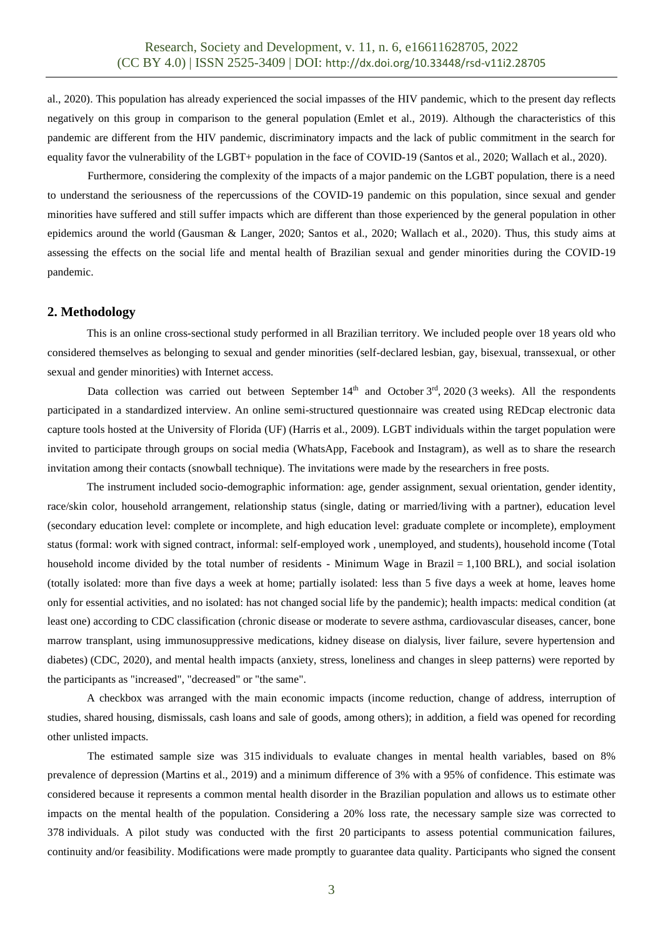al., 2020). This population has already experienced the social impasses of the HIV pandemic, which to the present day reflects negatively on this group in comparison to the general population (Emlet et al., 2019). Although the characteristics of this pandemic are different from the HIV pandemic, discriminatory impacts and the lack of public commitment in the search for equality favor the vulnerability of the LGBT+ population in the face of COVID-19 (Santos et al., 2020; Wallach et al., 2020).

Furthermore, considering the complexity of the impacts of a major pandemic on the LGBT population, there is a need to understand the seriousness of the repercussions of the COVID-19 pandemic on this population, since sexual and gender minorities have suffered and still suffer impacts which are different than those experienced by the general population in other epidemics around the world (Gausman & Langer, 2020; Santos et al., 2020; Wallach et al., 2020). Thus, this study aims at assessing the effects on the social life and mental health of Brazilian sexual and gender minorities during the COVID-19 pandemic.

#### **2. Methodology**

This is an online cross-sectional study performed in all Brazilian territory. We included people over 18 years old who considered themselves as belonging to sexual and gender minorities (self-declared lesbian, gay, bisexual, transsexual, or other sexual and gender minorities) with Internet access.

Data collection was carried out between September  $14<sup>th</sup>$  and October  $3<sup>rd</sup>$ , 2020 (3 weeks). All the respondents participated in a standardized interview. An online semi-structured questionnaire was created using REDcap electronic data capture tools hosted at the University of Florida (UF) (Harris et al., 2009). LGBT individuals within the target population were invited to participate through groups on social media (WhatsApp, Facebook and Instagram), as well as to share the research invitation among their contacts (snowball technique). The invitations were made by the researchers in free posts.

The instrument included socio-demographic information: age, gender assignment, sexual orientation, gender identity, race/skin color, household arrangement, relationship status (single, dating or married/living with a partner), education level (secondary education level: complete or incomplete, and high education level: graduate complete or incomplete), employment status (formal: work with signed contract, informal: self-employed work , unemployed, and students), household income (Total household income divided by the total number of residents - Minimum Wage in Brazil  $= 1,100$  BRL), and social isolation (totally isolated: more than five days a week at home; partially isolated: less than 5 five days a week at home, leaves home only for essential activities, and no isolated: has not changed social life by the pandemic); health impacts: medical condition (at least one) according to CDC classification (chronic disease or moderate to severe asthma, cardiovascular diseases, cancer, bone marrow transplant, using immunosuppressive medications, kidney disease on dialysis, liver failure, severe hypertension and diabetes) (CDC, 2020), and mental health impacts (anxiety, stress, loneliness and changes in sleep patterns) were reported by the participants as "increased", "decreased" or "the same".

A checkbox was arranged with the main economic impacts (income reduction, change of address, interruption of studies, shared housing, dismissals, cash loans and sale of goods, among others); in addition, a field was opened for recording other unlisted impacts.

The estimated sample size was 315 individuals to evaluate changes in mental health variables, based on 8% prevalence of depression (Martins et al., 2019) and a minimum difference of 3% with a 95% of confidence. This estimate was considered because it represents a common mental health disorder in the Brazilian population and allows us to estimate other impacts on the mental health of the population. Considering a 20% loss rate, the necessary sample size was corrected to 378 individuals. A pilot study was conducted with the first 20 participants to assess potential communication failures, continuity and/or feasibility. Modifications were made promptly to guarantee data quality. Participants who signed the consent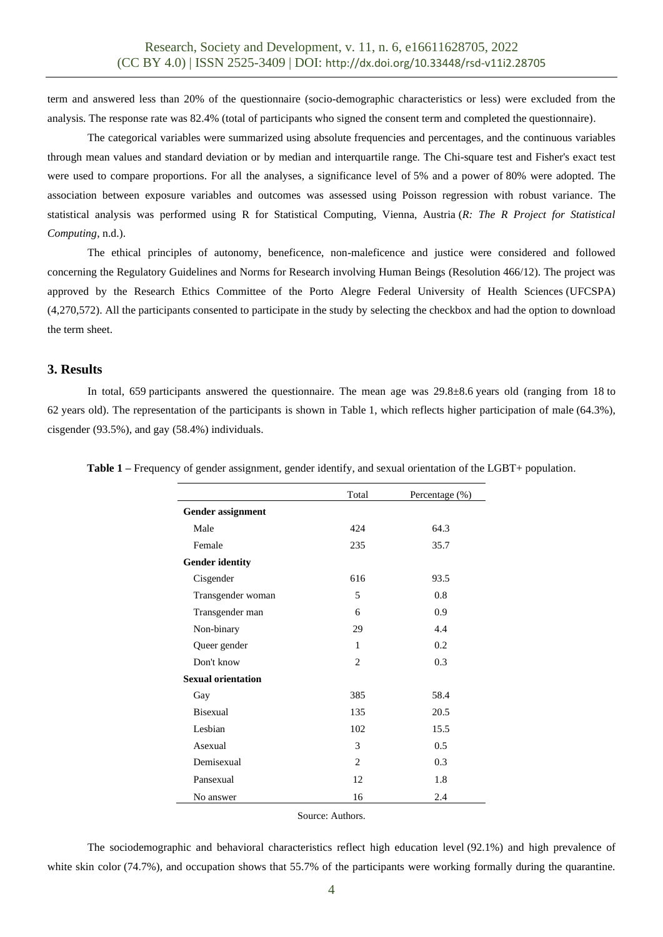term and answered less than 20% of the questionnaire (socio-demographic characteristics or less) were excluded from the analysis. The response rate was 82.4% (total of participants who signed the consent term and completed the questionnaire).

The categorical variables were summarized using absolute frequencies and percentages, and the continuous variables through mean values and standard deviation or by median and interquartile range. The Chi-square test and Fisher's exact test were used to compare proportions. For all the analyses, a significance level of 5% and a power of 80% were adopted. The association between exposure variables and outcomes was assessed using Poisson regression with robust variance. The statistical analysis was performed using R for Statistical Computing, Vienna, Austria (*R: The R Project for Statistical Computing*, n.d.).

The ethical principles of autonomy, beneficence, non-maleficence and justice were considered and followed concerning the Regulatory Guidelines and Norms for Research involving Human Beings (Resolution 466/12). The project was approved by the Research Ethics Committee of the Porto Alegre Federal University of Health Sciences (UFCSPA) (4,270,572). All the participants consented to participate in the study by selecting the checkbox and had the option to download the term sheet.

#### **3. Results**

In total, 659 participants answered the questionnaire. The mean age was 29.8±8.6 years old (ranging from 18 to 62 years old). The representation of the participants is shown in Table 1, which reflects higher participation of male (64.3%), cisgender (93.5%), and gay (58.4%) individuals.

|                           | Total          | Percentage (%) |
|---------------------------|----------------|----------------|
| <b>Gender assignment</b>  |                |                |
| Male                      | 42.4           | 64.3           |
| Female                    | 235            | 35.7           |
| <b>Gender identity</b>    |                |                |
| Cisgender                 | 616            | 93.5           |
| Transgender woman         | 5              | 0.8            |
| Transgender man           | 6              | 0.9            |
| Non-binary                | 29             | 4.4            |
| Queer gender              | 1              | 0.2            |
| Don't know                | $\overline{c}$ | 0.3            |
| <b>Sexual orientation</b> |                |                |
| Gay                       | 385            | 58.4           |
| <b>Bisexual</b>           | 135            | 20.5           |
| Lesbian                   | 102            | 15.5           |
| Asexual                   | 3              | 0.5            |
| Demisexual                | 2              | 0.3            |
| Pansexual                 | 12             | 1.8            |
| No answer                 | 16             | 2.4            |
|                           |                |                |

**Table 1** – Frequency of gender assignment, gender identify, and sexual orientation of the LGBT+ population.

Source: Authors.

The sociodemographic and behavioral characteristics reflect high education level (92.1%) and high prevalence of white skin color (74.7%), and occupation shows that 55.7% of the participants were working formally during the quarantine.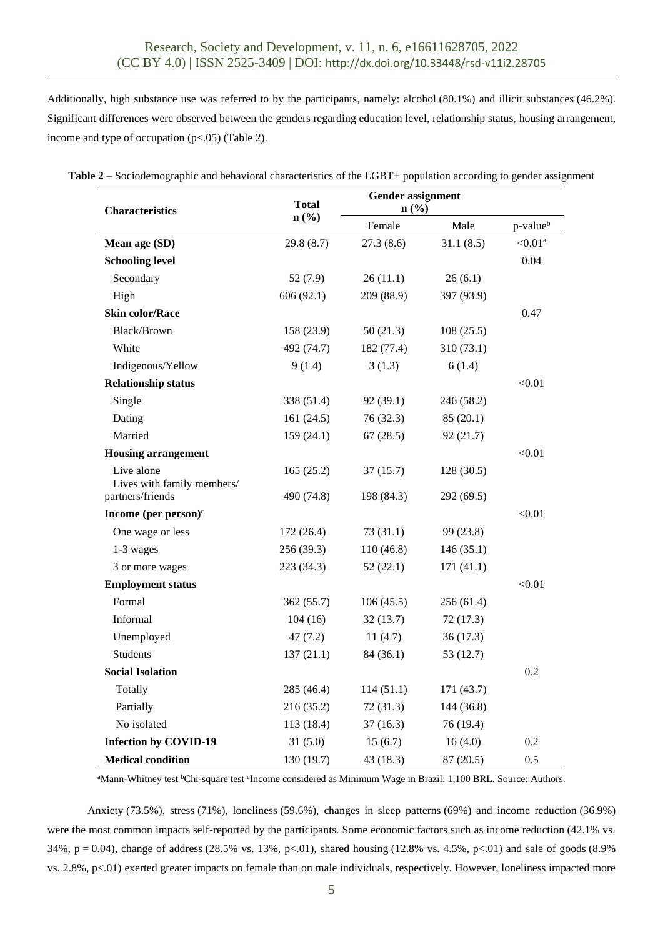Additionally, high substance use was referred to by the participants, namely: alcohol (80.1%) and illicit substances (46.2%). Significant differences were observed between the genders regarding education level, relationship status, housing arrangement, income and type of occupation (p<.05) (Table 2).

| <b>Characteristics</b>                   | <b>Total</b>                | <b>Gender assignment</b><br>n(%) |            |                      |  |
|------------------------------------------|-----------------------------|----------------------------------|------------|----------------------|--|
|                                          | $n\left(\frac{0}{0}\right)$ | Female                           | Male       | p-value <sup>b</sup> |  |
| Mean age (SD)                            | 29.8(8.7)                   | 27.3(8.6)                        | 31.1(8.5)  | $<0.01$ <sup>a</sup> |  |
| <b>Schooling level</b>                   |                             |                                  |            | 0.04                 |  |
| Secondary                                | 52 $(7.9)$                  | 26(11.1)                         | 26(6.1)    |                      |  |
| High                                     | 606 (92.1)                  | 209 (88.9)                       | 397 (93.9) |                      |  |
| <b>Skin color/Race</b>                   |                             |                                  |            | 0.47                 |  |
| <b>Black/Brown</b>                       | 158 (23.9)                  | 50(21.3)                         | 108(25.5)  |                      |  |
| White                                    | 492 (74.7)                  | 182 (77.4)                       | 310(73.1)  |                      |  |
| Indigenous/Yellow                        | 9(1.4)                      | 3(1.3)                           | 6(1.4)     |                      |  |
| <b>Relationship status</b>               |                             |                                  |            | < 0.01               |  |
| Single                                   | 338 (51.4)                  | 92(39.1)                         | 246 (58.2) |                      |  |
| Dating                                   | 161(24.5)                   | 76 (32.3)                        | 85(20.1)   |                      |  |
| Married                                  | 159 (24.1)                  | 67(28.5)                         | 92(21.7)   |                      |  |
| <b>Housing arrangement</b>               |                             |                                  |            | < 0.01               |  |
| Live alone<br>Lives with family members/ | 165(25.2)                   | 37(15.7)                         | 128 (30.5) |                      |  |
| partners/friends                         | 490 (74.8)                  | 198 (84.3)                       | 292(69.5)  |                      |  |
| Income (per person) $c$                  |                             |                                  |            | < 0.01               |  |
| One wage or less                         | 172 (26.4)                  | 73(31.1)                         | 99 (23.8)  |                      |  |
| 1-3 wages                                | 256 (39.3)                  | 110 (46.8)                       | 146(35.1)  |                      |  |
| 3 or more wages                          | 223 (34.3)                  | 52(22.1)                         | 171(41.1)  |                      |  |
| <b>Employment status</b>                 |                             |                                  |            | < 0.01               |  |
| Formal                                   | 362 (55.7)                  | 106(45.5)                        | 256(61.4)  |                      |  |
| Informal                                 | 104(16)                     | 32(13.7)                         | 72(17.3)   |                      |  |
| Unemployed                               | 47(7.2)                     | 11(4.7)                          | 36(17.3)   |                      |  |
| <b>Students</b>                          | 137(21.1)                   | 84 (36.1)                        | 53(12.7)   |                      |  |
| <b>Social Isolation</b>                  |                             |                                  |            | 0.2                  |  |
| Totally                                  | 285 (46.4)                  | 114(51.1)                        | 171 (43.7) |                      |  |
| Partially                                | 216(35.2)                   | 72(31.3)                         | 144 (36.8) |                      |  |
| No isolated                              | 113 (18.4)                  | 37(16.3)                         | 76 (19.4)  |                      |  |
| <b>Infection by COVID-19</b>             | 31(5.0)                     | 15(6.7)                          | 16(4.0)    | 0.2                  |  |
| <b>Medical condition</b>                 | 130 (19.7)                  | 43 (18.3)                        | 87 (20.5)  | 0.5                  |  |

**Table 2 –** Sociodemographic and behavioral characteristics of the LGBT+ population according to gender assignment

<sup>a</sup>Mann-Whitney test <sup>b</sup>Chi-square test <sup>c</sup>Income considered as Minimum Wage in Brazil: 1,100 BRL. Source: Authors.

Anxiety (73.5%), stress (71%), loneliness (59.6%), changes in sleep patterns (69%) and income reduction (36.9%) were the most common impacts self-reported by the participants. Some economic factors such as income reduction (42.1% vs. 34%,  $p = 0.04$ ), change of address (28.5% vs. 13%, p<.01), shared housing (12.8% vs. 4.5%, p<.01) and sale of goods (8.9%) vs. 2.8%, p<.01) exerted greater impacts on female than on male individuals, respectively. However, loneliness impacted more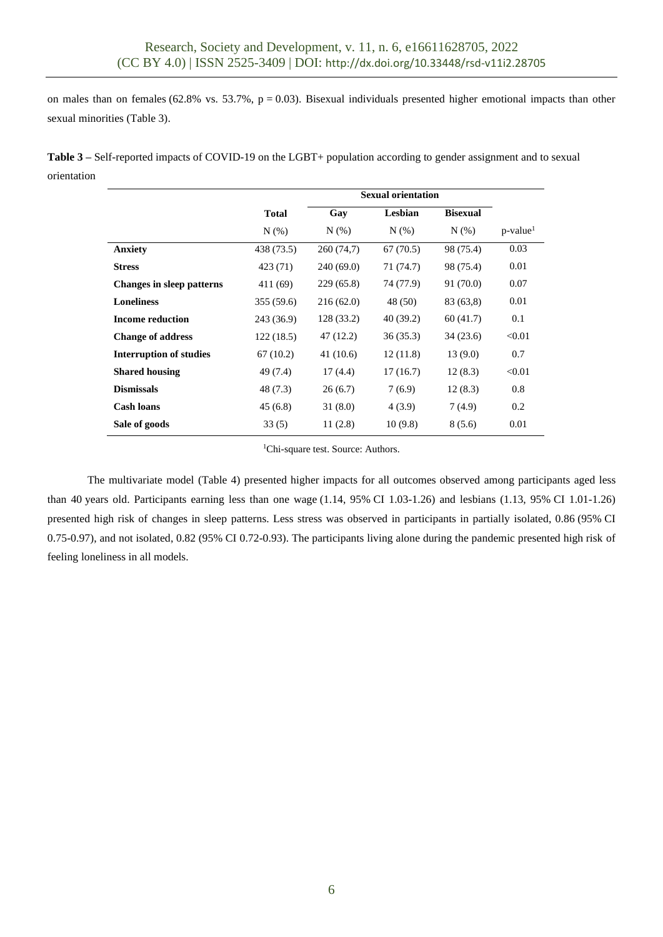on males than on females (62.8% vs. 53.7%,  $p = 0.03$ ). Bisexual individuals presented higher emotional impacts than other sexual minorities (Table 3).

**Table 3 –** Self-reported impacts of COVID-19 on the LGBT+ population according to gender assignment and to sexual orientation

|                                | <b>Sexual orientation</b> |            |           |                 |                      |
|--------------------------------|---------------------------|------------|-----------|-----------------|----------------------|
|                                | <b>Total</b>              | Gay        | Lesbian   | <b>Bisexual</b> |                      |
|                                | N(% )                     | $N(\%)$    | $N(\%)$   | $N(\%)$         | p-value <sup>1</sup> |
| <b>Anxiety</b>                 | 438 (73.5)                | 260 (74,7) | 67(70.5)  | 98 (75.4)       | 0.03                 |
| <b>Stress</b>                  | 423 (71)                  | 240 (69.0) | 71 (74.7) | 98 (75.4)       | 0.01                 |
| Changes in sleep patterns      | 411 (69)                  | 229 (65.8) | 74 (77.9) | 91 (70.0)       | 0.07                 |
| <b>Loneliness</b>              | 355 (59.6)                | 216(62.0)  | 48 (50)   | 83 (63,8)       | 0.01                 |
| <b>Income reduction</b>        | 243 (36.9)                | 128 (33.2) | 40(39.2)  | 60(41.7)        | 0.1                  |
| <b>Change of address</b>       | 122(18.5)                 | 47(12.2)   | 36(35.3)  | 34(23.6)        | < 0.01               |
| <b>Interruption of studies</b> | 67(10.2)                  | 41 (10.6)  | 12(11.8)  | 13(9.0)         | 0.7                  |
| <b>Shared housing</b>          | 49 (7.4)                  | 17(4.4)    | 17(16.7)  | 12(8.3)         | < 0.01               |
| <b>Dismissals</b>              | 48 (7.3)                  | 26(6.7)    | 7(6.9)    | 12(8.3)         | 0.8                  |
| <b>Cash loans</b>              | 45(6.8)                   | 31(8.0)    | 4(3.9)    | 7(4.9)          | 0.2                  |
| Sale of goods                  | 33(5)                     | 11(2.8)    | 10(9.8)   | 8(5.6)          | 0.01                 |

<sup>1</sup>Chi-square test. Source: Authors.

The multivariate model (Table 4) presented higher impacts for all outcomes observed among participants aged less than 40 years old. Participants earning less than one wage (1.14, 95% CI 1.03-1.26) and lesbians (1.13, 95% CI 1.01-1.26) presented high risk of changes in sleep patterns. Less stress was observed in participants in partially isolated, 0.86 (95% CI 0.75-0.97), and not isolated, 0.82 (95% CI 0.72-0.93). The participants living alone during the pandemic presented high risk of feeling loneliness in all models.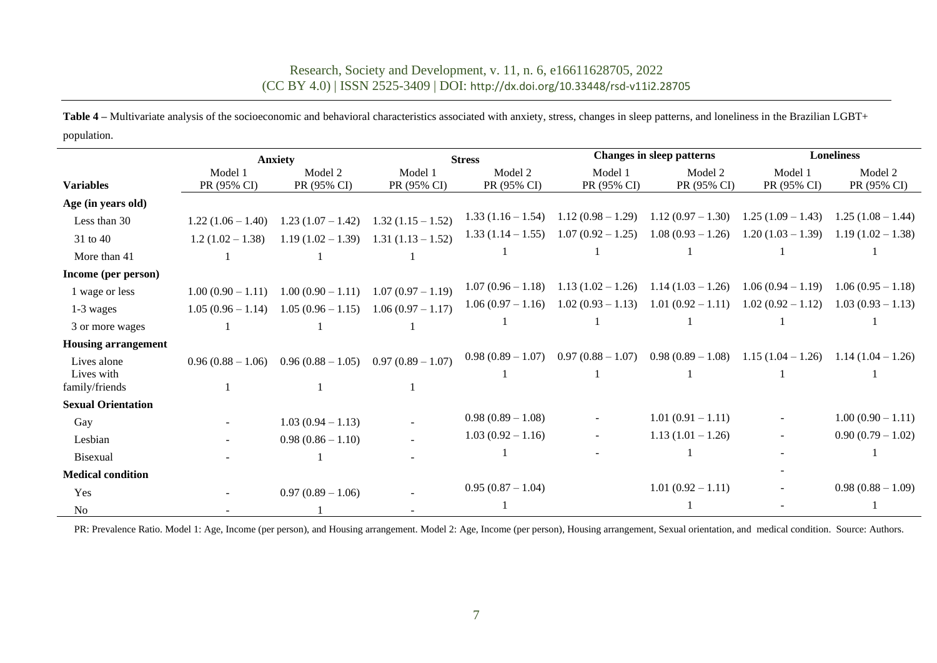# Research, Society and Development, v. 11, n. 6, e16611628705, 2022 (CC BY 4.0) | ISSN 2525-3409 | DOI: <http://dx.doi.org/10.33448/rsd-v11i2.28705>

Table 4 – Multivariate analysis of the socioeconomic and behavioral characteristics associated with anxiety, stress, changes in sleep patterns, and loneliness in the Brazilian LGBT+ population.

|                            | <b>Anxiety</b>      |                     | <b>Stress</b>       |                     | <b>Changes in sleep patterns</b>                            |                     | <b>Loneliness</b>   |                     |
|----------------------------|---------------------|---------------------|---------------------|---------------------|-------------------------------------------------------------|---------------------|---------------------|---------------------|
|                            | Model 1             | Model 2             | Model 1             | Model 2             | Model 1                                                     | Model 2             | Model 1             | Model 2             |
| <b>Variables</b>           | PR (95% CI)         | PR (95% CI)         | PR (95% CI)         | PR (95% CI)         | PR (95% CI)                                                 | PR (95% CI)         | PR (95% CI)         | PR (95% CI)         |
| Age (in years old)         |                     |                     |                     |                     |                                                             |                     |                     |                     |
| Less than 30               | $1.22(1.06 - 1.40)$ | $1.23(1.07 - 1.42)$ | $1.32(1.15-1.52)$   |                     | $1.33(1.16 - 1.54)$ $1.12(0.98 - 1.29)$ $1.12(0.97 - 1.30)$ |                     | $1.25(1.09-1.43)$   | $1.25(1.08-1.44)$   |
| 31 to 40                   | $1.2(1.02 - 1.38)$  | $1.19(1.02 - 1.39)$ | $1.31(1.13 - 1.52)$ | $1.33(1.14-1.55)$   | $1.07(0.92 - 1.25)$                                         | $1.08(0.93 - 1.26)$ | $1.20(1.03-1.39)$   | $1.19(1.02 - 1.38)$ |
| More than 41               |                     |                     |                     |                     |                                                             |                     |                     |                     |
| Income (per person)        |                     |                     |                     |                     |                                                             |                     |                     |                     |
| 1 wage or less             | $1.00(0.90 - 1.11)$ | $1.00(0.90 - 1.11)$ | $1.07(0.97-1.19)$   | $1.07(0.96-1.18)$   | $1.13(1.02 - 1.26)$                                         | $1.14(1.03 - 1.26)$ | $1.06(0.94-1.19)$   | $1.06(0.95-1.18)$   |
| 1-3 wages                  | $1.05(0.96 - 1.14)$ | $1.05(0.96-1.15)$   | $1.06(0.97 - 1.17)$ | $1.06(0.97-1.16)$   | $1.02(0.93 - 1.13)$ $1.01(0.92 - 1.11)$                     |                     | $1.02(0.92 - 1.12)$ | $1.03(0.93-1.13)$   |
| 3 or more wages            |                     |                     |                     |                     |                                                             |                     |                     |                     |
| <b>Housing arrangement</b> |                     |                     |                     |                     |                                                             |                     |                     |                     |
| Lives alone                | $0.96(0.88-1.06)$   | $0.96(0.88-1.05)$   | $0.97(0.89-1.07)$   | $0.98(0.89-1.07)$   | $0.97(0.88 - 1.07)$ $0.98(0.89 - 1.08)$                     |                     | $1.15(1.04-1.26)$   | $1.14(1.04-1.26)$   |
| Lives with                 |                     |                     |                     |                     |                                                             |                     |                     |                     |
| family/friends             |                     |                     |                     |                     |                                                             |                     |                     |                     |
| <b>Sexual Orientation</b>  |                     |                     |                     |                     |                                                             |                     |                     |                     |
| Gay                        |                     | $1.03(0.94 - 1.13)$ |                     | $0.98(0.89-1.08)$   |                                                             | $1.01(0.91 - 1.11)$ |                     | $1.00(0.90 - 1.11)$ |
| Lesbian                    |                     | $0.98(0.86 - 1.10)$ |                     | $1.03(0.92 - 1.16)$ |                                                             | $1.13(1.01 - 1.26)$ |                     | $0.90(0.79-1.02)$   |
| <b>Bisexual</b>            |                     |                     |                     |                     |                                                             |                     |                     |                     |
| <b>Medical condition</b>   |                     |                     |                     |                     |                                                             |                     |                     |                     |
| Yes                        |                     | $0.97(0.89-1.06)$   |                     | $0.95(0.87-1.04)$   |                                                             | $1.01(0.92 - 1.11)$ |                     | $0.98(0.88-1.09)$   |
| N <sub>0</sub>             |                     |                     |                     |                     |                                                             |                     |                     |                     |

PR: Prevalence Ratio. Model 1: Age, Income (per person), and Housing arrangement. Model 2: Age, Income (per person), Housing arrangement, Sexual orientation, and medical condition. Source: Authors.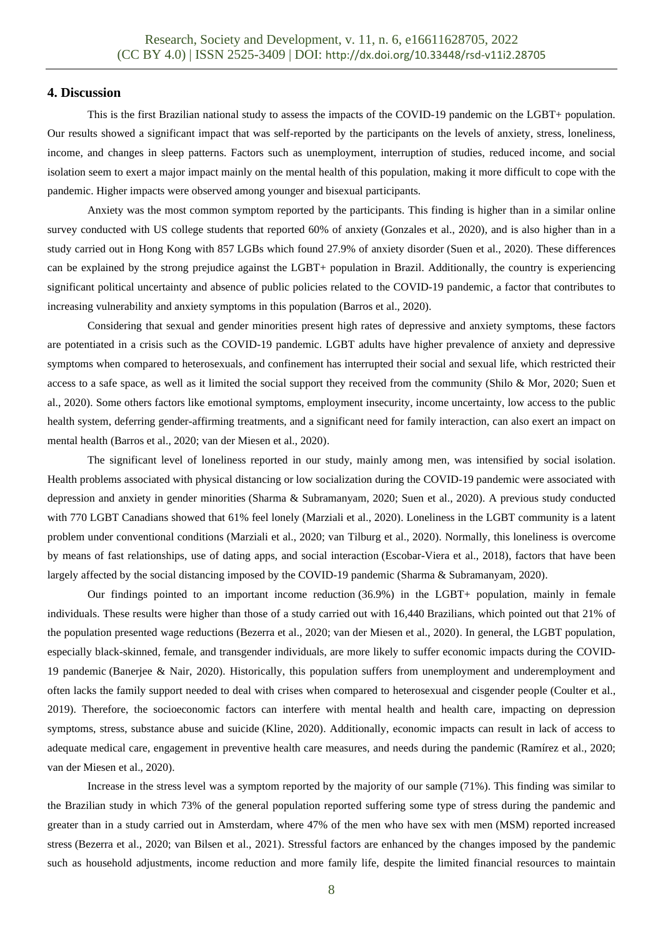#### **4. Discussion**

This is the first Brazilian national study to assess the impacts of the COVID-19 pandemic on the LGBT+ population. Our results showed a significant impact that was self-reported by the participants on the levels of anxiety, stress, loneliness, income, and changes in sleep patterns. Factors such as unemployment, interruption of studies, reduced income, and social isolation seem to exert a major impact mainly on the mental health of this population, making it more difficult to cope with the pandemic. Higher impacts were observed among younger and bisexual participants.

Anxiety was the most common symptom reported by the participants. This finding is higher than in a similar online survey conducted with US college students that reported 60% of anxiety (Gonzales et al., 2020), and is also higher than in a study carried out in Hong Kong with 857 LGBs which found 27.9% of anxiety disorder (Suen et al., 2020). These differences can be explained by the strong prejudice against the LGBT+ population in Brazil. Additionally, the country is experiencing significant political uncertainty and absence of public policies related to the COVID-19 pandemic, a factor that contributes to increasing vulnerability and anxiety symptoms in this population (Barros et al., 2020).

Considering that sexual and gender minorities present high rates of depressive and anxiety symptoms, these factors are potentiated in a crisis such as the COVID-19 pandemic. LGBT adults have higher prevalence of anxiety and depressive symptoms when compared to heterosexuals, and confinement has interrupted their social and sexual life, which restricted their access to a safe space, as well as it limited the social support they received from the community (Shilo & Mor, 2020; Suen et al., 2020). Some others factors like emotional symptoms, employment insecurity, income uncertainty, low access to the public health system, deferring gender-affirming treatments, and a significant need for family interaction, can also exert an impact on mental health (Barros et al., 2020; van der Miesen et al., 2020).

The significant level of loneliness reported in our study, mainly among men, was intensified by social isolation. Health problems associated with physical distancing or low socialization during the COVID-19 pandemic were associated with depression and anxiety in gender minorities (Sharma & Subramanyam, 2020; Suen et al., 2020). A previous study conducted with 770 LGBT Canadians showed that 61% feel lonely (Marziali et al., 2020). Loneliness in the LGBT community is a latent problem under conventional conditions (Marziali et al., 2020; van Tilburg et al., 2020). Normally, this loneliness is overcome by means of fast relationships, use of dating apps, and social interaction (Escobar-Viera et al., 2018), factors that have been largely affected by the social distancing imposed by the COVID-19 pandemic (Sharma & Subramanyam, 2020).

Our findings pointed to an important income reduction (36.9%) in the LGBT+ population, mainly in female individuals. These results were higher than those of a study carried out with 16,440 Brazilians, which pointed out that 21% of the population presented wage reductions (Bezerra et al., 2020; van der Miesen et al., 2020). In general, the LGBT population, especially black-skinned, female, and transgender individuals, are more likely to suffer economic impacts during the COVID-19 pandemic (Banerjee & Nair, 2020). Historically, this population suffers from unemployment and underemployment and often lacks the family support needed to deal with crises when compared to heterosexual and cisgender people (Coulter et al., 2019). Therefore, the socioeconomic factors can interfere with mental health and health care, impacting on depression symptoms, stress, substance abuse and suicide (Kline, 2020). Additionally, economic impacts can result in lack of access to adequate medical care, engagement in preventive health care measures, and needs during the pandemic (Ramírez et al., 2020; van der Miesen et al., 2020).

Increase in the stress level was a symptom reported by the majority of our sample (71%). This finding was similar to the Brazilian study in which 73% of the general population reported suffering some type of stress during the pandemic and greater than in a study carried out in Amsterdam, where 47% of the men who have sex with men (MSM) reported increased stress (Bezerra et al., 2020; van Bilsen et al., 2021). Stressful factors are enhanced by the changes imposed by the pandemic such as household adjustments, income reduction and more family life, despite the limited financial resources to maintain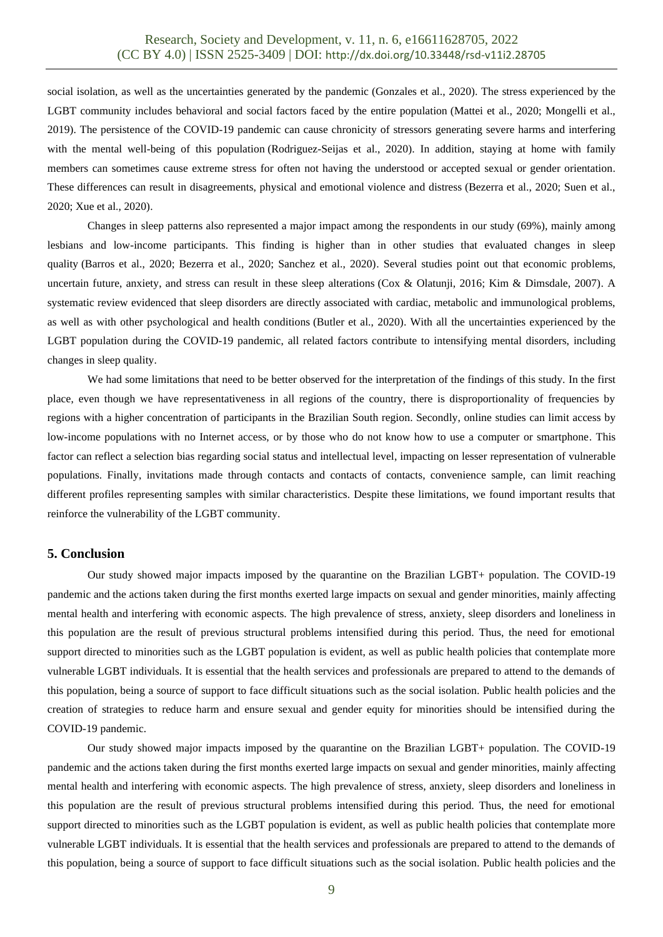social isolation, as well as the uncertainties generated by the pandemic (Gonzales et al., 2020). The stress experienced by the LGBT community includes behavioral and social factors faced by the entire population (Mattei et al., 2020; Mongelli et al., 2019). The persistence of the COVID-19 pandemic can cause chronicity of stressors generating severe harms and interfering with the mental well-being of this population (Rodriguez-Seijas et al., 2020). In addition, staying at home with family members can sometimes cause extreme stress for often not having the understood or accepted sexual or gender orientation. These differences can result in disagreements, physical and emotional violence and distress (Bezerra et al., 2020; Suen et al., 2020; Xue et al., 2020).

Changes in sleep patterns also represented a major impact among the respondents in our study (69%), mainly among lesbians and low-income participants. This finding is higher than in other studies that evaluated changes in sleep quality (Barros et al., 2020; Bezerra et al., 2020; Sanchez et al., 2020). Several studies point out that economic problems, uncertain future, anxiety, and stress can result in these sleep alterations (Cox & Olatunji, 2016; Kim & Dimsdale, 2007). A systematic review evidenced that sleep disorders are directly associated with cardiac, metabolic and immunological problems, as well as with other psychological and health conditions (Butler et al., 2020). With all the uncertainties experienced by the LGBT population during the COVID-19 pandemic, all related factors contribute to intensifying mental disorders, including changes in sleep quality.

We had some limitations that need to be better observed for the interpretation of the findings of this study. In the first place, even though we have representativeness in all regions of the country, there is disproportionality of frequencies by regions with a higher concentration of participants in the Brazilian South region. Secondly, online studies can limit access by low-income populations with no Internet access, or by those who do not know how to use a computer or smartphone. This factor can reflect a selection bias regarding social status and intellectual level, impacting on lesser representation of vulnerable populations. Finally, invitations made through contacts and contacts of contacts, convenience sample, can limit reaching different profiles representing samples with similar characteristics. Despite these limitations, we found important results that reinforce the vulnerability of the LGBT community.

### **5. Conclusion**

Our study showed major impacts imposed by the quarantine on the Brazilian LGBT+ population. The COVID-19 pandemic and the actions taken during the first months exerted large impacts on sexual and gender minorities, mainly affecting mental health and interfering with economic aspects. The high prevalence of stress, anxiety, sleep disorders and loneliness in this population are the result of previous structural problems intensified during this period. Thus, the need for emotional support directed to minorities such as the LGBT population is evident, as well as public health policies that contemplate more vulnerable LGBT individuals. It is essential that the health services and professionals are prepared to attend to the demands of this population, being a source of support to face difficult situations such as the social isolation. Public health policies and the creation of strategies to reduce harm and ensure sexual and gender equity for minorities should be intensified during the COVID-19 pandemic.

Our study showed major impacts imposed by the quarantine on the Brazilian LGBT+ population. The COVID-19 pandemic and the actions taken during the first months exerted large impacts on sexual and gender minorities, mainly affecting mental health and interfering with economic aspects. The high prevalence of stress, anxiety, sleep disorders and loneliness in this population are the result of previous structural problems intensified during this period. Thus, the need for emotional support directed to minorities such as the LGBT population is evident, as well as public health policies that contemplate more vulnerable LGBT individuals. It is essential that the health services and professionals are prepared to attend to the demands of this population, being a source of support to face difficult situations such as the social isolation. Public health policies and the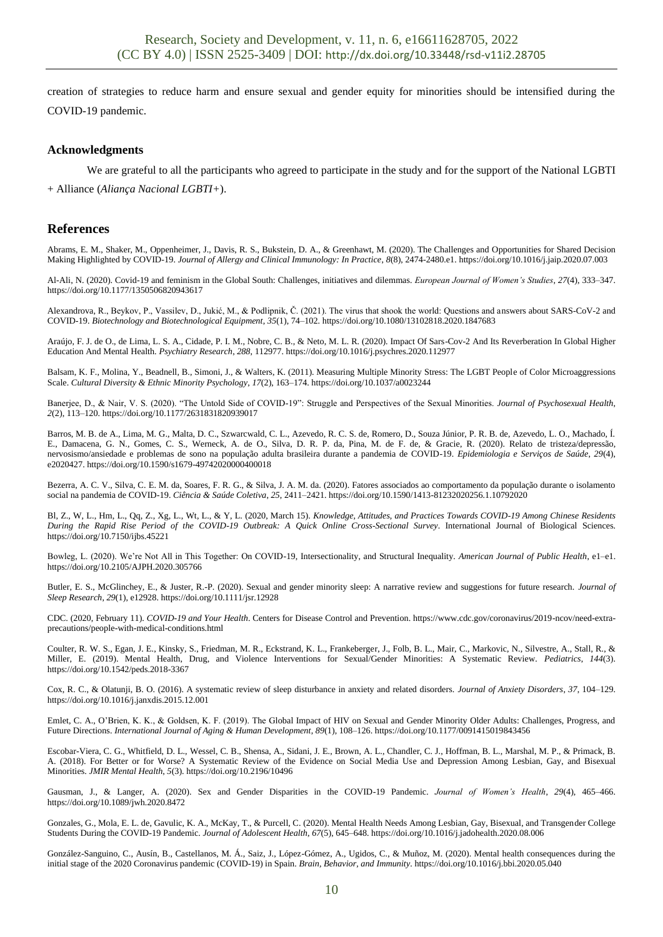creation of strategies to reduce harm and ensure sexual and gender equity for minorities should be intensified during the COVID-19 pandemic.

#### **Acknowledgments**

We are grateful to all the participants who agreed to participate in the study and for the support of the National LGBTI + Alliance (*Aliança Nacional LGBTI+*).

#### **References**

Abrams, E. M., Shaker, M., Oppenheimer, J., Davis, R. S., Bukstein, D. A., & Greenhawt, M. (2020). The Challenges and Opportunities for Shared Decision Making Highlighted by COVID-19. *Journal of Allergy and Clinical Immunology: In Practice*, *8*(8), 2474-2480.e1. https://doi.org/10.1016/j.jaip.2020.07.003

Al-Ali, N. (2020). Covid-19 and feminism in the Global South: Challenges, initiatives and dilemmas. *European Journal of Women's Studies*, *27*(4), 333–347. https://doi.org/10.1177/1350506820943617

Alexandrova, R., Beykov, P., Vassilev, D., Jukić, M., & Podlipnik, Č. (2021). The virus that shook the world: Questions and answers about SARS-CoV-2 and COVID-19. *Biotechnology and Biotechnological Equipment*, *35*(1), 74–102. https://doi.org/10.1080/13102818.2020.1847683

Araújo, F. J. de O., de Lima, L. S. A., Cidade, P. I. M., Nobre, C. B., & Neto, M. L. R. (2020). Impact Of Sars-Cov-2 And Its Reverberation In Global Higher Education And Mental Health. *Psychiatry Research*, *288*, 112977. https://doi.org/10.1016/j.psychres.2020.112977

Balsam, K. F., Molina, Y., Beadnell, B., Simoni, J., & Walters, K. (2011). Measuring Multiple Minority Stress: The LGBT People of Color Microaggressions Scale. *Cultural Diversity & Ethnic Minority Psychology*, *17*(2), 163–174. https://doi.org/10.1037/a0023244

Banerjee, D., & Nair, V. S. (2020). "The Untold Side of COVID-19": Struggle and Perspectives of the Sexual Minorities. *Journal of Psychosexual Health*, *2*(2), 113–120. https://doi.org/10.1177/2631831820939017

Barros, M. B. de A., Lima, M. G., Malta, D. C., Szwarcwald, C. L., Azevedo, R. C. S. de, Romero, D., Souza Júnior, P. R. B. de, Azevedo, L. O., Machado, Í. E., Damacena, G. N., Gomes, C. S., Werneck, A. de O., Silva, D. R. P. da, Pina, M. de F. de, & Gracie, R. (2020). Relato de tristeza/depressão, nervosismo/ansiedade e problemas de sono na população adulta brasileira durante a pandemia de COVID-19. *Epidemiologia e Serviços de Saúde*, *29*(4), e2020427. https://doi.org/10.1590/s1679-49742020000400018

Bezerra, A. C. V., Silva, C. E. M. da, Soares, F. R. G., & Silva, J. A. M. da. (2020). Fatores associados ao comportamento da população durante o isolamento social na pandemia de COVID-19. *Ciência & Saúde Coletiva*, *25*, 2411–2421. https://doi.org/10.1590/1413-81232020256.1.10792020

Bl, Z., W, L., Hm, L., Qq, Z., Xg, L., Wt, L., & Y, L. (2020, March 15). *Knowledge, Attitudes, and Practices Towards COVID-19 Among Chinese Residents During the Rapid Rise Period of the COVID-19 Outbreak: A Quick Online Cross-Sectional Survey*. International Journal of Biological Sciences. https://doi.org/10.7150/ijbs.45221

Bowleg, L. (2020). We're Not All in This Together: On COVID-19, Intersectionality, and Structural Inequality. *American Journal of Public Health*, e1–e1. https://doi.org/10.2105/AJPH.2020.305766

Butler, E. S., McGlinchey, E., & Juster, R.-P. (2020). Sexual and gender minority sleep: A narrative review and suggestions for future research. *Journal of Sleep Research*, *29*(1), e12928. https://doi.org/10.1111/jsr.12928

CDC. (2020, February 11). *COVID-19 and Your Health*. Centers for Disease Control and Prevention. https://www.cdc.gov/coronavirus/2019-ncov/need-extraprecautions/people-with-medical-conditions.html

Coulter, R. W. S., Egan, J. E., Kinsky, S., Friedman, M. R., Eckstrand, K. L., Frankeberger, J., Folb, B. L., Mair, C., Markovic, N., Silvestre, A., Stall, R., & Miller, E. (2019). Mental Health, Drug, and Violence Interventions for Sexual/Gender Minorities: A Systematic Review. *Pediatrics*, *144*(3). https://doi.org/10.1542/peds.2018-3367

Cox, R. C., & Olatunji, B. O. (2016). A systematic review of sleep disturbance in anxiety and related disorders. *Journal of Anxiety Disorders*, *37*, 104–129. https://doi.org/10.1016/j.janxdis.2015.12.001

Emlet, C. A., O'Brien, K. K., & Goldsen, K. F. (2019). The Global Impact of HIV on Sexual and Gender Minority Older Adults: Challenges, Progress, and Future Directions. *International Journal of Aging & Human Development*, *89*(1), 108–126. https://doi.org/10.1177/0091415019843456

Escobar-Viera, C. G., Whitfield, D. L., Wessel, C. B., Shensa, A., Sidani, J. E., Brown, A. L., Chandler, C. J., Hoffman, B. L., Marshal, M. P., & Primack, B. A. (2018). For Better or for Worse? A Systematic Review of the Evidence on Social Media Use and Depression Among Lesbian, Gay, and Bisexual Minorities. *JMIR Mental Health*, *5*(3). https://doi.org/10.2196/10496

Gausman, J., & Langer, A. (2020). Sex and Gender Disparities in the COVID-19 Pandemic. *Journal of Women's Health*, *29*(4), 465–466. https://doi.org/10.1089/jwh.2020.8472

Gonzales, G., Mola, E. L. de, Gavulic, K. A., McKay, T., & Purcell, C. (2020). Mental Health Needs Among Lesbian, Gay, Bisexual, and Transgender College Students During the COVID-19 Pandemic. *Journal of Adolescent Health*, *67*(5), 645–648. https://doi.org/10.1016/j.jadohealth.2020.08.006

González-Sanguino, C., Ausín, B., Castellanos, M. Á., Saiz, J., López-Gómez, A., Ugidos, C., & Muñoz, M. (2020). Mental health consequences during the initial stage of the 2020 Coronavirus pandemic (COVID-19) in Spain. *Brain, Behavior, and Immunity*. https://doi.org/10.1016/j.bbi.2020.05.040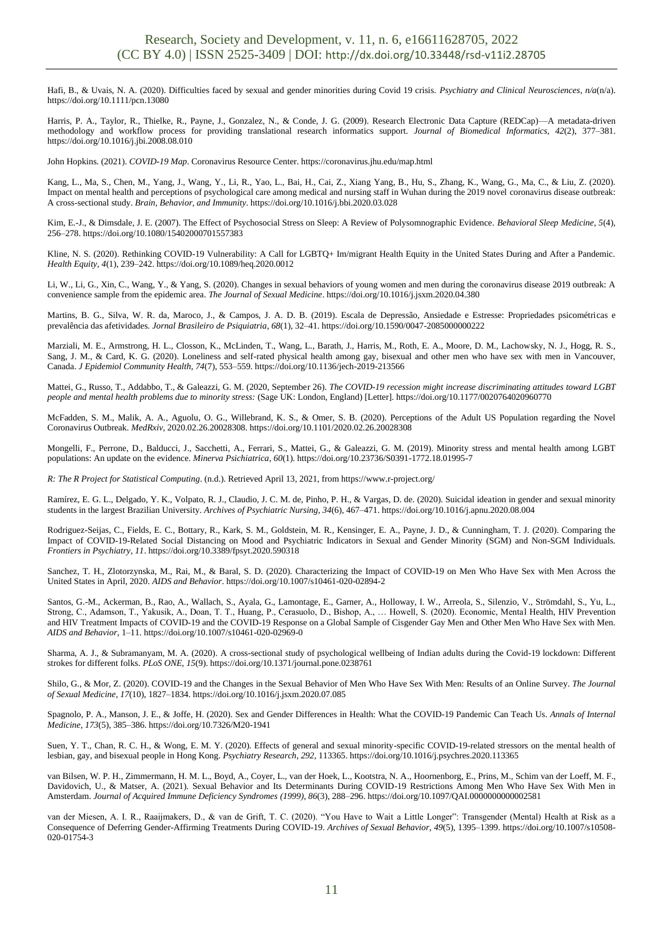Hafi, B., & Uvais, N. A. (2020). Difficulties faced by sexual and gender minorities during Covid 19 crisis. *Psychiatry and Clinical Neurosciences*, *n/a*(n/a). https://doi.org/10.1111/pcn.13080

Harris, P. A., Taylor, R., Thielke, R., Payne, J., Gonzalez, N., & Conde, J. G. (2009). Research Electronic Data Capture (REDCap)—A metadata-driven methodology and workflow process for providing translational research informatics support. *Journal of Biomedical Informatics*, *42*(2), 377–381. https://doi.org/10.1016/j.jbi.2008.08.010

John Hopkins. (2021). *COVID-19 Map*. Coronavirus Resource Center. https://coronavirus.jhu.edu/map.html

Kang, L., Ma, S., Chen, M., Yang, J., Wang, Y., Li, R., Yao, L., Bai, H., Cai, Z., Xiang Yang, B., Hu, S., Zhang, K., Wang, G., Ma, C., & Liu, Z. (2020). Impact on mental health and perceptions of psychological care among medical and nursing staff in Wuhan during the 2019 novel coronavirus disease outbreak: A cross-sectional study. *Brain, Behavior, and Immunity*. https://doi.org/10.1016/j.bbi.2020.03.028

Kim, E.-J., & Dimsdale, J. E. (2007). The Effect of Psychosocial Stress on Sleep: A Review of Polysomnographic Evidence. *Behavioral Sleep Medicine*, *5*(4), 256–278. https://doi.org/10.1080/15402000701557383

Kline, N. S. (2020). Rethinking COVID-19 Vulnerability: A Call for LGBTQ+ Im/migrant Health Equity in the United States During and After a Pandemic. *Health Equity*, *4*(1), 239–242. https://doi.org/10.1089/heq.2020.0012

Li, W., Li, G., Xin, C., Wang, Y., & Yang, S. (2020). Changes in sexual behaviors of young women and men during the coronavirus disease 2019 outbreak: A convenience sample from the epidemic area. *The Journal of Sexual Medicine*. https://doi.org/10.1016/j.jsxm.2020.04.380

Martins, B. G., Silva, W. R. da, Maroco, J., & Campos, J. A. D. B. (2019). Escala de Depressão, Ansiedade e Estresse: Propriedades psicométricas e prevalência das afetividades. *Jornal Brasileiro de Psiquiatria*, *68*(1), 32–41. https://doi.org/10.1590/0047-2085000000222

Marziali, M. E., Armstrong, H. L., Closson, K., McLinden, T., Wang, L., Barath, J., Harris, M., Roth, E. A., Moore, D. M., Lachowsky, N. J., Hogg, R. S., Sang, J. M., & Card, K. G. (2020). Loneliness and self-rated physical health among gay, bisexual and other men who have sex with men in Vancouver, Canada. *J Epidemiol Community Health*, *74*(7), 553–559. https://doi.org/10.1136/jech-2019-213566

Mattei, G., Russo, T., Addabbo, T., & Galeazzi, G. M. (2020, September 26). *The COVID-19 recession might increase discriminating attitudes toward LGBT people and mental health problems due to minority stress:* (Sage UK: London, England) [Letter]. https://doi.org/10.1177/0020764020960770

McFadden, S. M., Malik, A. A., Aguolu, O. G., Willebrand, K. S., & Omer, S. B. (2020). Perceptions of the Adult US Population regarding the Novel Coronavirus Outbreak. *MedRxiv*, 2020.02.26.20028308. https://doi.org/10.1101/2020.02.26.20028308

Mongelli, F., Perrone, D., Balducci, J., Sacchetti, A., Ferrari, S., Mattei, G., & Galeazzi, G. M. (2019). Minority stress and mental health among LGBT populations: An update on the evidence. *Minerva Psichiatrica*, *60*(1). https://doi.org/10.23736/S0391-1772.18.01995-7

*R: The R Project for Statistical Computing*. (n.d.). Retrieved April 13, 2021, from https://www.r-project.org/

Ramírez, E. G. L., Delgado, Y. K., Volpato, R. J., Claudio, J. C. M. de, Pinho, P. H., & Vargas, D. de. (2020). Suicidal ideation in gender and sexual minority students in the largest Brazilian University. *Archives of Psychiatric Nursing*, *34*(6), 467–471. https://doi.org/10.1016/j.apnu.2020.08.004

Rodriguez-Seijas, C., Fields, E. C., Bottary, R., Kark, S. M., Goldstein, M. R., Kensinger, E. A., Payne, J. D., & Cunningham, T. J. (2020). Comparing the Impact of COVID-19-Related Social Distancing on Mood and Psychiatric Indicators in Sexual and Gender Minority (SGM) and Non-SGM Individuals. *Frontiers in Psychiatry*, *11*. https://doi.org/10.3389/fpsyt.2020.590318

Sanchez, T. H., Zlotorzynska, M., Rai, M., & Baral, S. D. (2020). Characterizing the Impact of COVID-19 on Men Who Have Sex with Men Across the United States in April, 2020. *AIDS and Behavior*. https://doi.org/10.1007/s10461-020-02894-2

Santos, G.-M., Ackerman, B., Rao, A., Wallach, S., Ayala, G., Lamontage, E., Garner, A., Holloway, I. W., Arreola, S., Silenzio, V., Strömdahl, S., Yu, L., Strong, C., Adamson, T., Yakusik, A., Doan, T. T., Huang, P., Cerasuolo, D., Bishop, A., … Howell, S. (2020). Economic, Mental Health, HIV Prevention and HIV Treatment Impacts of COVID-19 and the COVID-19 Response on a Global Sample of Cisgender Gay Men and Other Men Who Have Sex with Men. *AIDS and Behavior*, 1–11. https://doi.org/10.1007/s10461-020-02969-0

Sharma, A. J., & Subramanyam, M. A. (2020). A cross-sectional study of psychological wellbeing of Indian adults during the Covid-19 lockdown: Different strokes for different folks. *PLoS ONE*, *15*(9). https://doi.org/10.1371/journal.pone.0238761

Shilo, G., & Mor, Z. (2020). COVID-19 and the Changes in the Sexual Behavior of Men Who Have Sex With Men: Results of an Online Survey. *The Journal of Sexual Medicine*, *17*(10), 1827–1834. https://doi.org/10.1016/j.jsxm.2020.07.085

Spagnolo, P. A., Manson, J. E., & Joffe, H. (2020). Sex and Gender Differences in Health: What the COVID-19 Pandemic Can Teach Us. *Annals of Internal Medicine*, *173*(5), 385–386. https://doi.org/10.7326/M20-1941

Suen, Y. T., Chan, R. C. H., & Wong, E. M. Y. (2020). Effects of general and sexual minority-specific COVID-19-related stressors on the mental health of lesbian, gay, and bisexual people in Hong Kong. *Psychiatry Research*, *292*, 113365. https://doi.org/10.1016/j.psychres.2020.113365

van Bilsen, W. P. H., Zimmermann, H. M. L., Boyd, A., Coyer, L., van der Hoek, L., Kootstra, N. A., Hoornenborg, E., Prins, M., Schim van der Loeff, M. F., Davidovich, U., & Matser, A. (2021). Sexual Behavior and Its Determinants During COVID-19 Restrictions Among Men Who Have Sex With Men in Amsterdam. *Journal of Acquired Immune Deficiency Syndromes (1999)*, *86*(3), 288–296. https://doi.org/10.1097/QAI.0000000000002581

van der Miesen, A. I. R., Raaijmakers, D., & van de Grift, T. C. (2020). "You Have to Wait a Little Longer": Transgender (Mental) Health at Risk as a Consequence of Deferring Gender-Affirming Treatments During COVID-19. *Archives of Sexual Behavior*, *49*(5), 1395–1399. https://doi.org/10.1007/s10508- 020-01754-3